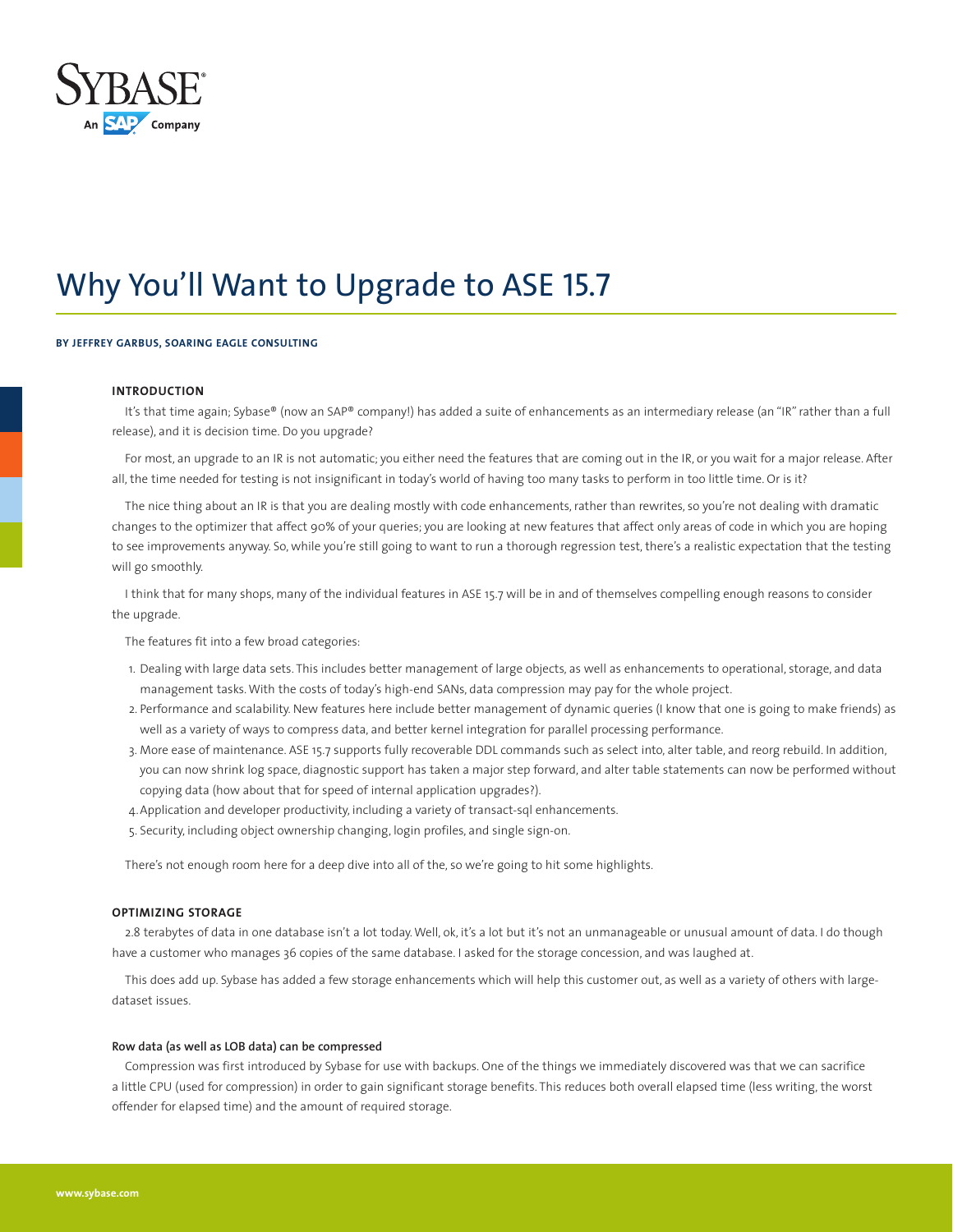

# Why You'll Want to Upgrade to ASE 15.7

## **BY JEFFREY GARBUS, SOARING EAGLE CONSULTING**

## **INTRODUCTION**

It's that time again; Sybase® (now an SAP® company!) has added a suite of enhancements as an intermediary release (an "IR" rather than a full release), and it is decision time. Do you upgrade?

For most, an upgrade to an IR is not automatic; you either need the features that are coming out in the IR, or you wait for a major release. After all, the time needed for testing is not insignificant in today's world of having too many tasks to perform in too little time. Or is it?

The nice thing about an IR is that you are dealing mostly with code enhancements, rather than rewrites, so you're not dealing with dramatic changes to the optimizer that affect 90% of your queries; you are looking at new features that affect only areas of code in which you are hoping to see improvements anyway. So, while you're still going to want to run a thorough regression test, there's a realistic expectation that the testing will go smoothly.

I think that for many shops, many of the individual features in ASE 15.7 will be in and of themselves compelling enough reasons to consider the upgrade.

The features fit into a few broad categories:

- 1. Dealing with large data sets. This includes better management of large objects, as well as enhancements to operational, storage, and data management tasks. With the costs of today's high-end SANs, data compression may pay for the whole project.
- 2. Performance and scalability. New features here include better management of dynamic queries (I know that one is going to make friends) as well as a variety of ways to compress data, and better kernel integration for parallel processing performance.
- 3. More ease of maintenance. ASE 15.7 supports fully recoverable DDL commands such as select into, alter table, and reorg rebuild. In addition, you can now shrink log space, diagnostic support has taken a major step forward, and alter table statements can now be performed without copying data (how about that for speed of internal application upgrades?).
- 4.Application and developer productivity, including a variety of transact-sql enhancements.
- 5. Security, including object ownership changing, login profiles, and single sign-on.

There's not enough room here for a deep dive into all of the, so we're going to hit some highlights.

#### **OPTIMIZING STORAGE**

2.8 terabytes of data in one database isn't a lot today. Well, ok, it's a lot but it's not an unmanageable or unusual amount of data. I do though have a customer who manages 36 copies of the same database. I asked for the storage concession, and was laughed at.

This does add up. Sybase has added a few storage enhancements which will help this customer out, as well as a variety of others with largedataset issues.

## **Row data (as well as LOB data) can be compressed**

Compression was first introduced by Sybase for use with backups. One of the things we immediately discovered was that we can sacrifice a little CPU (used for compression) in order to gain significant storage benefits. This reduces both overall elapsed time (less writing, the worst offender for elapsed time) and the amount of required storage.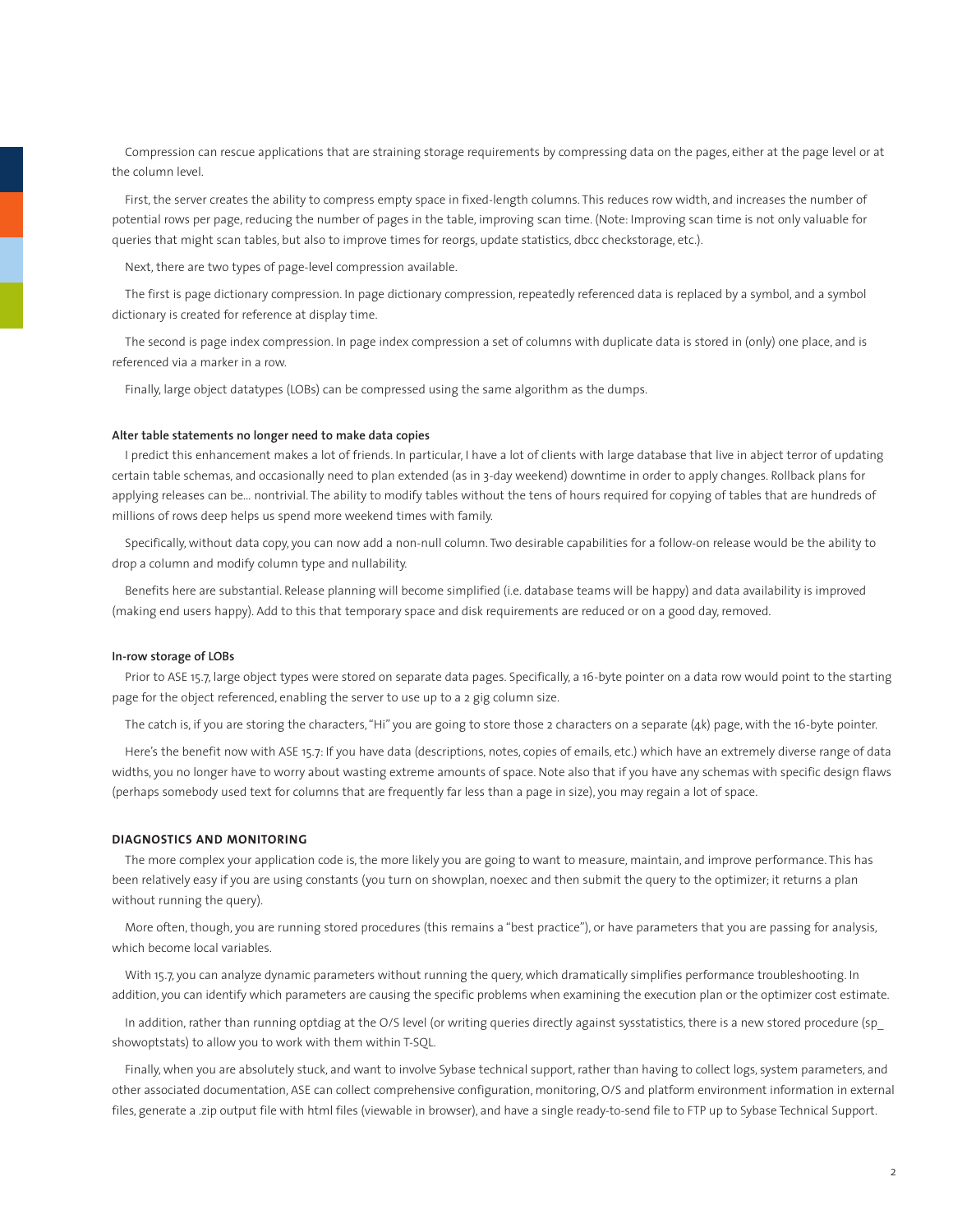Compression can rescue applications that are straining storage requirements by compressing data on the pages, either at the page level or at the column level.

First, the server creates the ability to compress empty space in fixed-length columns. This reduces row width, and increases the number of potential rows per page, reducing the number of pages in the table, improving scan time. (Note: Improving scan time is not only valuable for queries that might scan tables, but also to improve times for reorgs, update statistics, dbcc checkstorage, etc.).

Next, there are two types of page-level compression available.

The first is page dictionary compression. In page dictionary compression, repeatedly referenced data is replaced by a symbol, and a symbol dictionary is created for reference at display time.

The second is page index compression. In page index compression a set of columns with duplicate data is stored in (only) one place, and is referenced via a marker in a row.

Finally, large object datatypes (LOBs) can be compressed using the same algorithm as the dumps.

# **Alter table statements no longer need to make data copies**

I predict this enhancement makes a lot of friends. In particular, I have a lot of clients with large database that live in abject terror of updating certain table schemas, and occasionally need to plan extended (as in 3-day weekend) downtime in order to apply changes. Rollback plans for applying releases can be… nontrivial. The ability to modify tables without the tens of hours required for copying of tables that are hundreds of millions of rows deep helps us spend more weekend times with family.

Specifically, without data copy, you can now add a non-null column. Two desirable capabilities for a follow-on release would be the ability to drop a column and modify column type and nullability.

Benefits here are substantial. Release planning will become simplified (i.e. database teams will be happy) and data availability is improved (making end users happy). Add to this that temporary space and disk requirements are reduced or on a good day, removed.

# **In-row storage of LOBs**

Prior to ASE 15.7, large object types were stored on separate data pages. Specifically, a 16-byte pointer on a data row would point to the starting page for the object referenced, enabling the server to use up to a 2 gig column size.

The catch is, if you are storing the characters, "Hi" you are going to store those 2 characters on a separate (4k) page, with the 16-byte pointer.

Here's the benefit now with ASE 15.7: If you have data (descriptions, notes, copies of emails, etc.) which have an extremely diverse range of data widths, you no longer have to worry about wasting extreme amounts of space. Note also that if you have any schemas with specific design flaws (perhaps somebody used text for columns that are frequently far less than a page in size), you may regain a lot of space.

# **DIAGNOSTICS AND MONITORING**

The more complex your application code is, the more likely you are going to want to measure, maintain, and improve performance. This has been relatively easy if you are using constants (you turn on showplan, noexec and then submit the query to the optimizer; it returns a plan without running the query).

More often, though, you are running stored procedures (this remains a "best practice"), or have parameters that you are passing for analysis, which become local variables.

With 15.7, you can analyze dynamic parameters without running the query, which dramatically simplifies performance troubleshooting. In addition, you can identify which parameters are causing the specific problems when examining the execution plan or the optimizer cost estimate.

In addition, rather than running optdiag at the O/S level (or writing queries directly against sysstatistics, there is a new stored procedure (sp\_ showoptstats) to allow you to work with them within T-SQL.

Finally, when you are absolutely stuck, and want to involve Sybase technical support, rather than having to collect logs, system parameters, and other associated documentation, ASE can collect comprehensive configuration, monitoring, O/S and platform environment information in external files, generate a .zip output file with html files (viewable in browser), and have a single ready-to-send file to FTP up to Sybase Technical Support.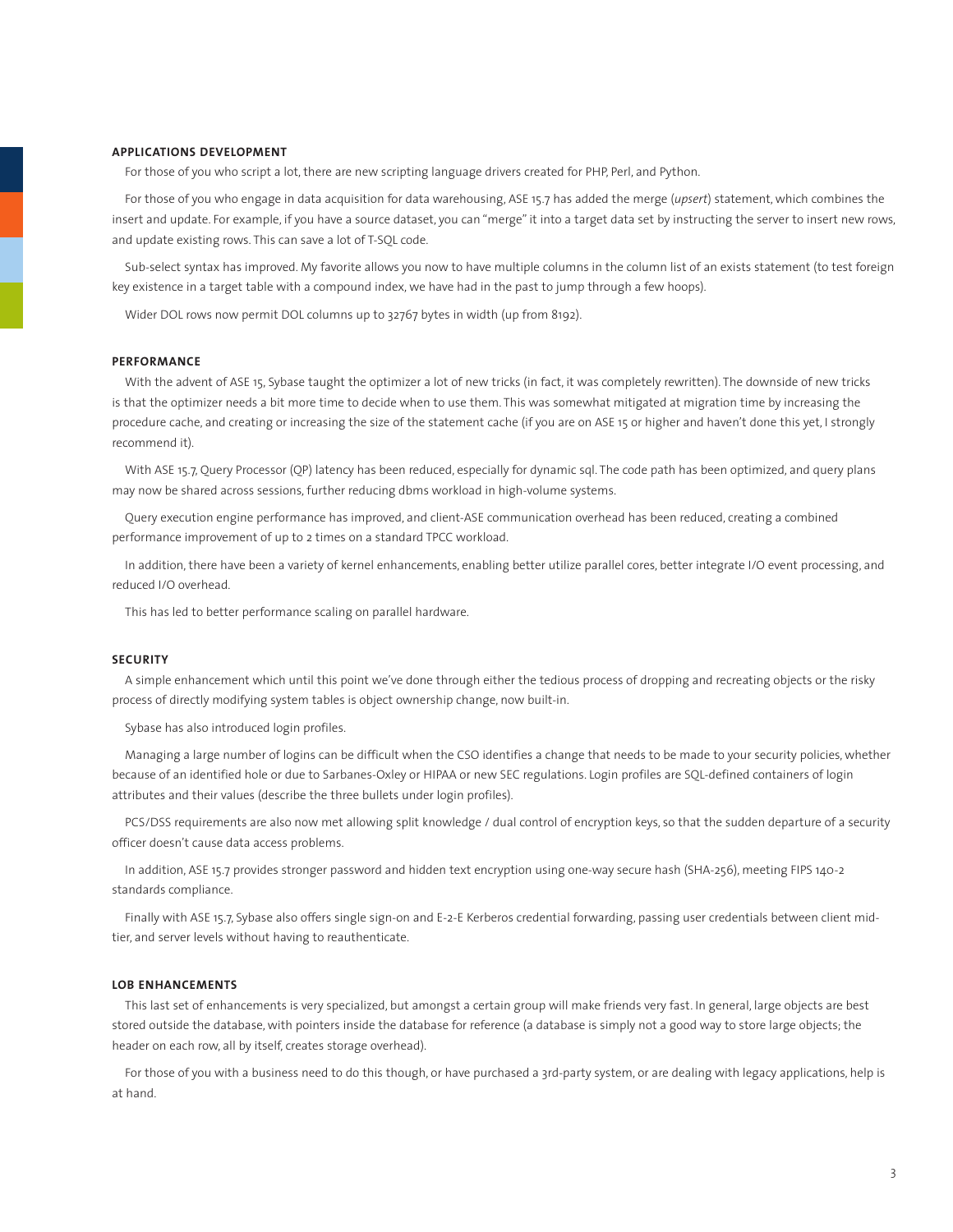# **APPLICATIONS DEVELOPMENT**

For those of you who script a lot, there are new scripting language drivers created for PHP, Perl, and Python.

For those of you who engage in data acquisition for data warehousing, ASE 15.7 has added the merge (*upsert*) statement, which combines the insert and update. For example, if you have a source dataset, you can "merge" it into a target data set by instructing the server to insert new rows, and update existing rows. This can save a lot of T-SQL code.

Sub-select syntax has improved. My favorite allows you now to have multiple columns in the column list of an exists statement (to test foreign key existence in a target table with a compound index, we have had in the past to jump through a few hoops).

Wider DOL rows now permit DOL columns up to 32767 bytes in width (up from 8192).

# **PERFORMANCE**

With the advent of ASE 15, Sybase taught the optimizer a lot of new tricks (in fact, it was completely rewritten). The downside of new tricks is that the optimizer needs a bit more time to decide when to use them. This was somewhat mitigated at migration time by increasing the procedure cache, and creating or increasing the size of the statement cache (if you are on ASE 15 or higher and haven't done this yet, I strongly recommend it).

With ASE 15.7, Query Processor (QP) latency has been reduced, especially for dynamic sql. The code path has been optimized, and query plans may now be shared across sessions, further reducing dbms workload in high-volume systems.

Query execution engine performance has improved, and client-ASE communication overhead has been reduced, creating a combined performance improvement of up to 2 times on a standard TPCC workload.

In addition, there have been a variety of kernel enhancements, enabling better utilize parallel cores, better integrate I/O event processing, and reduced I/O overhead.

This has led to better performance scaling on parallel hardware.

# **SECURITY**

A simple enhancement which until this point we've done through either the tedious process of dropping and recreating objects or the risky process of directly modifying system tables is object ownership change, now built-in.

Sybase has also introduced login profiles.

Managing a large number of logins can be difficult when the CSO identifies a change that needs to be made to your security policies, whether because of an identified hole or due to Sarbanes-Oxley or HIPAA or new SEC regulations. Login profiles are SQL-defined containers of login attributes and their values (describe the three bullets under login profiles).

PCS/DSS requirements are also now met allowing split knowledge / dual control of encryption keys, so that the sudden departure of a security officer doesn't cause data access problems.

In addition, ASE 15.7 provides stronger password and hidden text encryption using one-way secure hash (SHA-256), meeting FIPS 140-2 standards compliance.

Finally with ASE 15.7, Sybase also offers single sign-on and E-2-E Kerberos credential forwarding, passing user credentials between client midtier, and server levels without having to reauthenticate.

## **LOB ENHANCEMENTS**

This last set of enhancements is very specialized, but amongst a certain group will make friends very fast. In general, large objects are best stored outside the database, with pointers inside the database for reference (a database is simply not a good way to store large objects; the header on each row, all by itself, creates storage overhead).

For those of you with a business need to do this though, or have purchased a 3rd-party system, or are dealing with legacy applications, help is at hand.